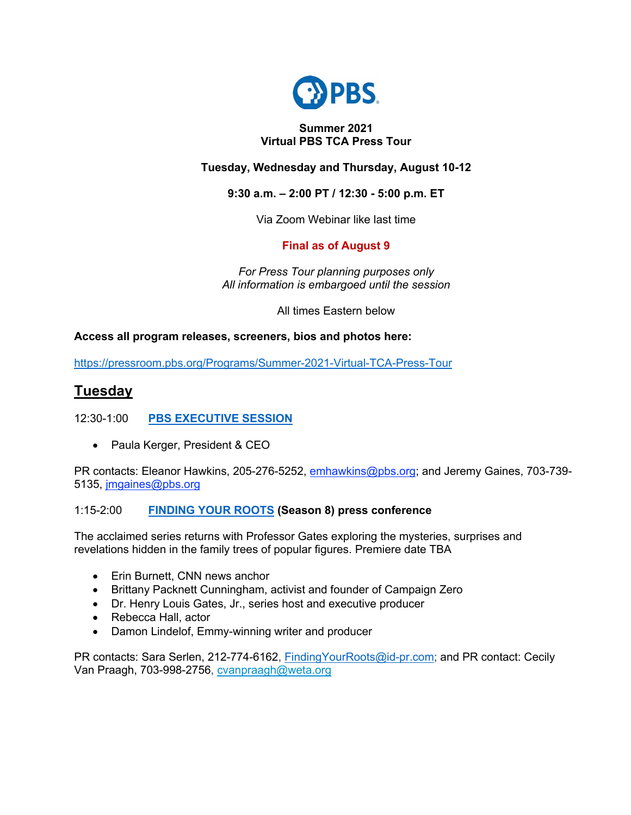

## **Summer 2021 Virtual PBS TCA Press Tour**

## **Tuesday, Wednesday and Thursday, August 10-12**

## **9:30 a.m. – 2:00 PT / 12:30 - 5:00 p.m. ET**

Via Zoom Webinar like last time

## **Final as of August 9**

*For Press Tour planning purposes only All information is embargoed until the session*

All times Eastern below

## **Access all program releases, screeners, bios and photos here:**

https://pressroom.pbs.org/Programs/Summer-2021-Virtual-TCA-Press-Tour

# **Tuesday**

## 12:30-1:00 **PBS EXECUTIVE SESSION**

• Paula Kerger, President & CEO

PR contacts: Eleanor Hawkins, 205-276-5252, emhawkins@pbs.org; and Jeremy Gaines, 703-739-5135, jmgaines@pbs.org

#### 1:15-2:00 **FINDING YOUR ROOTS (Season 8) press conference**

The acclaimed series returns with Professor Gates exploring the mysteries, surprises and revelations hidden in the family trees of popular figures. Premiere date TBA

- Erin Burnett, CNN news anchor
- Brittany Packnett Cunningham, activist and founder of Campaign Zero
- Dr. Henry Louis Gates, Jr., series host and executive producer
- Rebecca Hall, actor
- Damon Lindelof, Emmy-winning writer and producer

PR contacts: Sara Serlen, 212-774-6162, FindingYourRoots@id-pr.com; and PR contact: Cecily Van Praagh, 703-998-2756, cvanpraagh@weta.org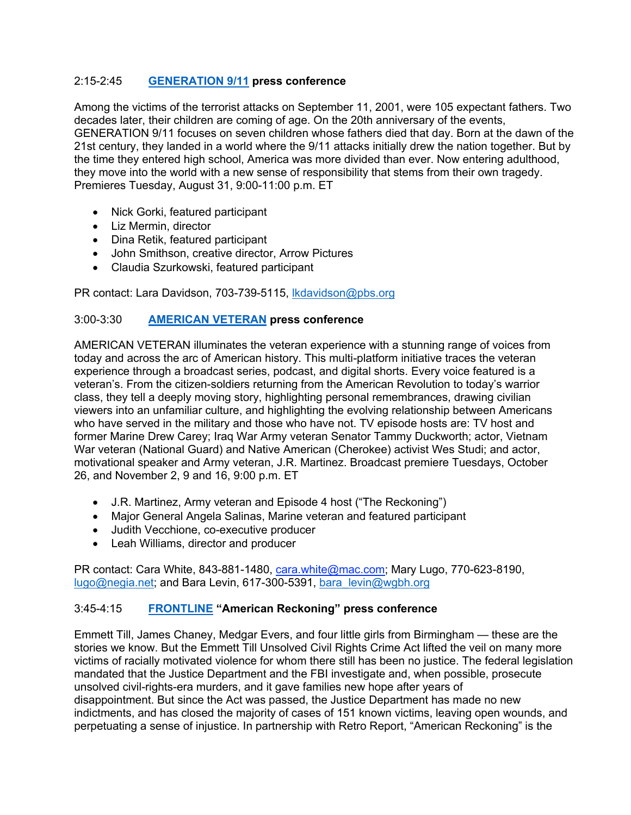#### 2:15-2:45 **GENERATION 9/11 press conference**

Among the victims of the terrorist attacks on September 11, 2001, were 105 expectant fathers. Two decades later, their children are coming of age. On the 20th anniversary of the events, GENERATION 9/11 focuses on seven children whose fathers died that day. Born at the dawn of the 21st century, they landed in a world where the 9/11 attacks initially drew the nation together. But by the time they entered high school, America was more divided than ever. Now entering adulthood, they move into the world with a new sense of responsibility that stems from their own tragedy. Premieres Tuesday, August 31, 9:00-11:00 p.m. ET

- Nick Gorki, featured participant
- Liz Mermin, director
- Dina Retik, featured participant
- John Smithson, creative director, Arrow Pictures
- Claudia Szurkowski, featured participant

PR contact: Lara Davidson, 703-739-5115, lkdavidson@pbs.org

#### 3:00-3:30 **AMERICAN VETERAN press conference**

AMERICAN VETERAN illuminates the veteran experience with a stunning range of voices from today and across the arc of American history. This multi-platform initiative traces the veteran experience through a broadcast series, podcast, and digital shorts. Every voice featured is a veteran's. From the citizen-soldiers returning from the American Revolution to today's warrior class, they tell a deeply moving story, highlighting personal remembrances, drawing civilian viewers into an unfamiliar culture, and highlighting the evolving relationship between Americans who have served in the military and those who have not. TV episode hosts are: TV host and former Marine Drew Carey; Iraq War Army veteran Senator Tammy Duckworth; actor, Vietnam War veteran (National Guard) and Native American (Cherokee) activist Wes Studi; and actor, motivational speaker and Army veteran, J.R. Martinez. Broadcast premiere Tuesdays, October 26, and November 2, 9 and 16, 9:00 p.m. ET

- J.R. Martinez, Army veteran and Episode 4 host ("The Reckoning")
- Major General Angela Salinas, Marine veteran and featured participant
- Judith Vecchione, co-executive producer
- Leah Williams, director and producer

PR contact: Cara White, 843-881-1480, cara.white@mac.com; Mary Lugo, 770-623-8190, lugo@negia.net; and Bara Levin, 617-300-5391, bara\_levin@wgbh.org

#### 3:45-4:15 **FRONTLINE "American Reckoning" press conference**

Emmett Till, James Chaney, Medgar Evers, and four little girls from Birmingham — these are the stories we know. But the Emmett Till Unsolved Civil Rights Crime Act lifted the veil on many more victims of racially motivated violence for whom there still has been no justice. The federal legislation mandated that the Justice Department and the FBI investigate and, when possible, prosecute unsolved civil-rights-era murders, and it gave families new hope after years of disappointment. But since the Act was passed, the Justice Department has made no new indictments, and has closed the majority of cases of 151 known victims, leaving open wounds, and perpetuating a sense of injustice. In partnership with Retro Report, "American Reckoning" is the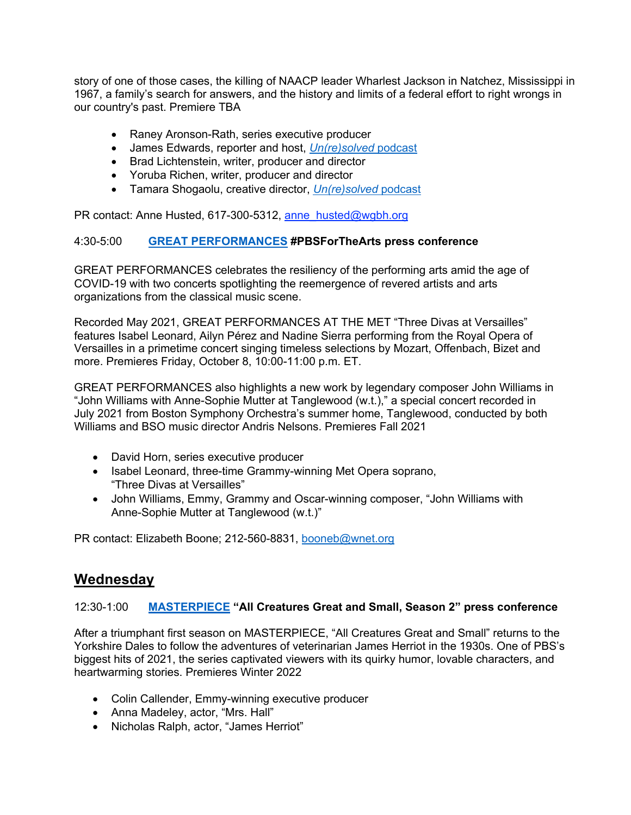story of one of those cases, the killing of NAACP leader Wharlest Jackson in Natchez, Mississippi in 1967, a family's search for answers, and the history and limits of a federal effort to right wrongs in our country's past. Premiere TBA

- Raney Aronson-Rath, series executive producer
- James Edwards, reporter and host, *Un(re)solved* podcast
- Brad Lichtenstein, writer, producer and director
- Yoruba Richen, writer, producer and director
- Tamara Shogaolu, creative director, *Un(re)solved* podcast

PR contact: Anne Husted, 617-300-5312, anne\_husted@wgbh.org

#### 4:30-5:00 **GREAT PERFORMANCES #PBSForTheArts press conference**

GREAT PERFORMANCES celebrates the resiliency of the performing arts amid the age of COVID-19 with two concerts spotlighting the reemergence of revered artists and arts organizations from the classical music scene.

Recorded May 2021, GREAT PERFORMANCES AT THE MET "Three Divas at Versailles" features Isabel Leonard, Ailyn Pérez and Nadine Sierra performing from the Royal Opera of Versailles in a primetime concert singing timeless selections by Mozart, Offenbach, Bizet and more. Premieres Friday, October 8, 10:00-11:00 p.m. ET.

GREAT PERFORMANCES also highlights a new work by legendary composer John Williams in "John Williams with Anne-Sophie Mutter at Tanglewood (w.t.)," a special concert recorded in July 2021 from Boston Symphony Orchestra's summer home, Tanglewood, conducted by both Williams and BSO music director Andris Nelsons. Premieres Fall 2021

- David Horn, series executive producer
- Isabel Leonard, three-time Grammy-winning Met Opera soprano, "Three Divas at Versailles"
- John Williams, Emmy, Grammy and Oscar-winning composer, "John Williams with Anne-Sophie Mutter at Tanglewood (w.t.)"

PR contact: Elizabeth Boone; 212-560-8831, booneb@wnet.org

## **Wednesday**

#### 12:30-1:00 **MASTERPIECE "All Creatures Great and Small, Season 2" press conference**

After a triumphant first season on MASTERPIECE, "All Creatures Great and Small" returns to the Yorkshire Dales to follow the adventures of veterinarian James Herriot in the 1930s. One of PBS's biggest hits of 2021, the series captivated viewers with its quirky humor, lovable characters, and heartwarming stories. Premieres Winter 2022

- Colin Callender, Emmy-winning executive producer
- Anna Madeley, actor, "Mrs. Hall"
- Nicholas Ralph, actor, "James Herriot"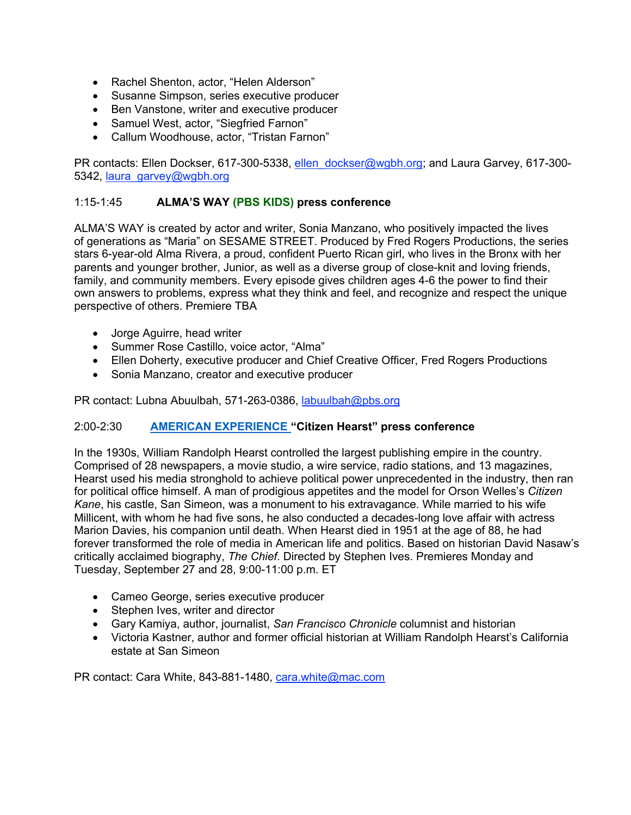- Rachel Shenton, actor, "Helen Alderson"
- Susanne Simpson, series executive producer
- Ben Vanstone, writer and executive producer
- Samuel West, actor, "Siegfried Farnon"
- Callum Woodhouse, actor, "Tristan Farnon"

PR contacts: Ellen Dockser, 617-300-5338, ellen dockser@wgbh.org; and Laura Garvey, 617-300-5342, laura\_garvey@wgbh.org

#### 1:15-1:45 **ALMA'S WAY (PBS KIDS) press conference**

ALMA'S WAY is created by actor and writer, Sonia Manzano, who positively impacted the lives of generations as "Maria" on SESAME STREET. Produced by Fred Rogers Productions, the series stars 6-year-old Alma Rivera, a proud, confident Puerto Rican girl, who lives in the Bronx with her parents and younger brother, Junior, as well as a diverse group of close-knit and loving friends, family, and community members. Every episode gives children ages 4-6 the power to find their own answers to problems, express what they think and feel, and recognize and respect the unique perspective of others. Premiere TBA

- Jorge Aguirre, head writer
- Summer Rose Castillo, voice actor, "Alma"
- Ellen Doherty, executive producer and Chief Creative Officer, Fred Rogers Productions
- Sonia Manzano, creator and executive producer

PR contact: Lubna Abuulbah, 571-263-0386, labuulbah@pbs.org

#### 2:00-2:30 **AMERICAN EXPERIENCE "Citizen Hearst" press conference**

In the 1930s, William Randolph Hearst controlled the largest publishing empire in the country. Comprised of 28 newspapers, a movie studio, a wire service, radio stations, and 13 magazines, Hearst used his media stronghold to achieve political power unprecedented in the industry, then ran for political office himself. A man of prodigious appetites and the model for Orson Welles's *Citizen Kane*, his castle, San Simeon, was a monument to his extravagance. While married to his wife Millicent, with whom he had five sons, he also conducted a decades-long love affair with actress Marion Davies, his companion until death. When Hearst died in 1951 at the age of 88, he had forever transformed the role of media in American life and politics. Based on historian David Nasaw's critically acclaimed biography, *The Chief*. Directed by Stephen Ives. Premieres Monday and Tuesday, September 27 and 28, 9:00-11:00 p.m. ET

- Cameo George, series executive producer
- Stephen Ives, writer and director
- Gary Kamiya, author, journalist, *San Francisco Chronicle* columnist and historian
- Victoria Kastner, author and former official historian at William Randolph Hearst's California estate at San Simeon

PR contact: Cara White, 843-881-1480, cara.white@mac.com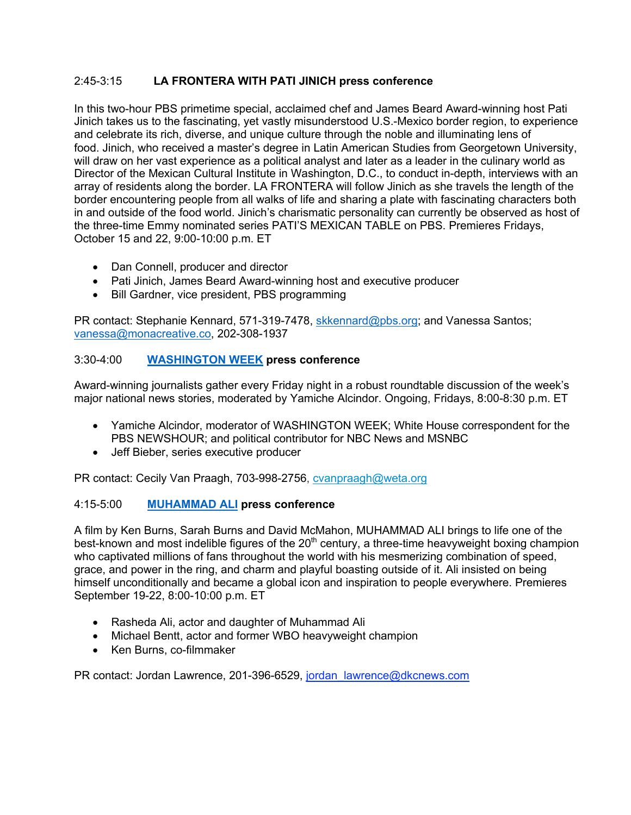## 2:45-3:15 **LA FRONTERA WITH PATI JINICH press conference**

In this two-hour PBS primetime special, acclaimed chef and James Beard Award-winning host Pati Jinich takes us to the fascinating, yet vastly misunderstood U.S.-Mexico border region, to experience and celebrate its rich, diverse, and unique culture through the noble and illuminating lens of food. Jinich, who received a master's degree in Latin American Studies from Georgetown University, will draw on her vast experience as a political analyst and later as a leader in the culinary world as Director of the Mexican Cultural Institute in Washington, D.C., to conduct in-depth, interviews with an array of residents along the border. LA FRONTERA will follow Jinich as she travels the length of the border encountering people from all walks of life and sharing a plate with fascinating characters both in and outside of the food world. Jinich's charismatic personality can currently be observed as host of the three-time Emmy nominated series PATI'S MEXICAN TABLE on PBS. Premieres Fridays, October 15 and 22, 9:00-10:00 p.m. ET

- Dan Connell, producer and director
- Pati Jinich, James Beard Award-winning host and executive producer
- Bill Gardner, vice president, PBS programming

PR contact: Stephanie Kennard, 571-319-7478, skkennard@pbs.org; and Vanessa Santos; vanessa@monacreative.co, 202-308-1937

## 3:30-4:00 **WASHINGTON WEEK press conference**

Award-winning journalists gather every Friday night in a robust roundtable discussion of the week's major national news stories, moderated by Yamiche Alcindor. Ongoing, Fridays, 8:00-8:30 p.m. ET

- Yamiche Alcindor, moderator of WASHINGTON WEEK; White House correspondent for the PBS NEWSHOUR; and political contributor for NBC News and MSNBC
- Jeff Bieber, series executive producer

PR contact: Cecily Van Praagh, 703-998-2756, cvanpraagh@weta.org

#### 4:15-5:00 **MUHAMMAD ALI press conference**

A film by Ken Burns, Sarah Burns and David McMahon, MUHAMMAD ALI brings to life one of the best-known and most indelible figures of the 20<sup>th</sup> century, a three-time heavyweight boxing champion who captivated millions of fans throughout the world with his mesmerizing combination of speed, grace, and power in the ring, and charm and playful boasting outside of it. Ali insisted on being himself unconditionally and became a global icon and inspiration to people everywhere. Premieres September 19-22, 8:00-10:00 p.m. ET

- Rasheda Ali, actor and daughter of Muhammad Ali
- Michael Bentt, actor and former WBO heavyweight champion
- Ken Burns, co-filmmaker

PR contact: Jordan Lawrence, 201-396-6529, jordan lawrence@dkcnews.com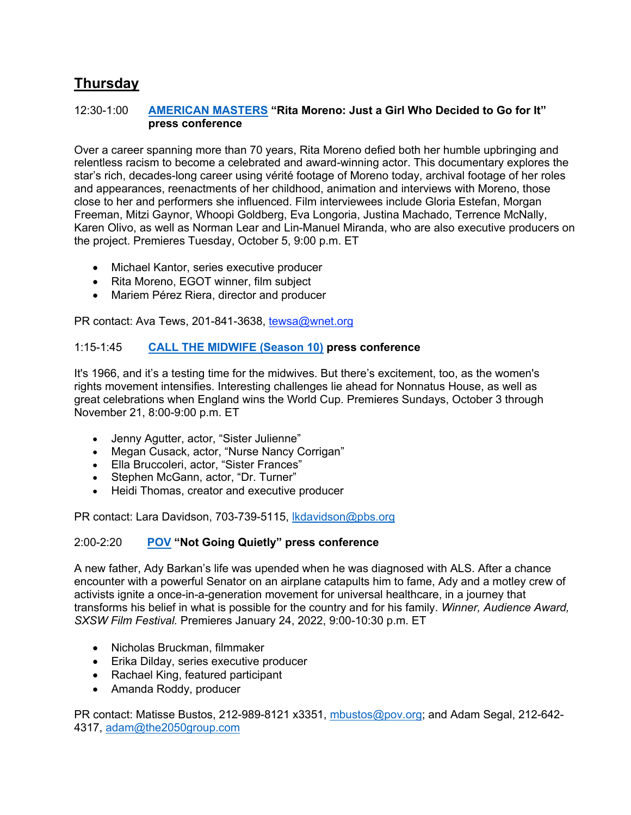# **Thursday**

#### 12:30-1:00 **AMERICAN MASTERS "Rita Moreno: Just a Girl Who Decided to Go for It" press conference**

Over a career spanning more than 70 years, Rita Moreno defied both her humble upbringing and relentless racism to become a celebrated and award-winning actor. This documentary explores the star's rich, decades-long career using vérité footage of Moreno today, archival footage of her roles and appearances, reenactments of her childhood, animation and interviews with Moreno, those close to her and performers she influenced. Film interviewees include Gloria Estefan, Morgan Freeman, Mitzi Gaynor, Whoopi Goldberg, Eva Longoria, Justina Machado, Terrence McNally, Karen Olivo, as well as Norman Lear and Lin-Manuel Miranda, who are also executive producers on the project. Premieres Tuesday, October 5, 9:00 p.m. ET

- Michael Kantor, series executive producer
- Rita Moreno, EGOT winner, film subject
- Mariem Pérez Riera, director and producer

PR contact: Ava Tews, 201-841-3638, tewsa@wnet.org

## 1:15-1:45 **CALL THE MIDWIFE (Season 10) press conference**

It's 1966, and it's a testing time for the midwives. But there's excitement, too, as the women's rights movement intensifies. Interesting challenges lie ahead for Nonnatus House, as well as great celebrations when England wins the World Cup. Premieres Sundays, October 3 through November 21, 8:00-9:00 p.m. ET

- Jenny Agutter, actor, "Sister Julienne"
- Megan Cusack, actor, "Nurse Nancy Corrigan"
- Ella Bruccoleri, actor, "Sister Frances"
- Stephen McGann, actor, "Dr. Turner"
- Heidi Thomas, creator and executive producer

PR contact: Lara Davidson, 703-739-5115, Ikdavidson@pbs.org

#### 2:00-2:20 **POV "Not Going Quietly" press conference**

A new father, Ady Barkan's life was upended when he was diagnosed with ALS. After a chance encounter with a powerful Senator on an airplane catapults him to fame, Ady and a motley crew of activists ignite a once-in-a-generation movement for universal healthcare, in a journey that transforms his belief in what is possible for the country and for his family. *Winner, Audience Award, SXSW Film Festival.* Premieres January 24, 2022, 9:00-10:30 p.m. ET

- Nicholas Bruckman, filmmaker
- Erika Dilday, series executive producer
- Rachael King, featured participant
- Amanda Roddy, producer

PR contact: Matisse Bustos, 212-989-8121 x3351, mbustos@pov.org; and Adam Segal, 212-642- 4317, adam@the2050group.com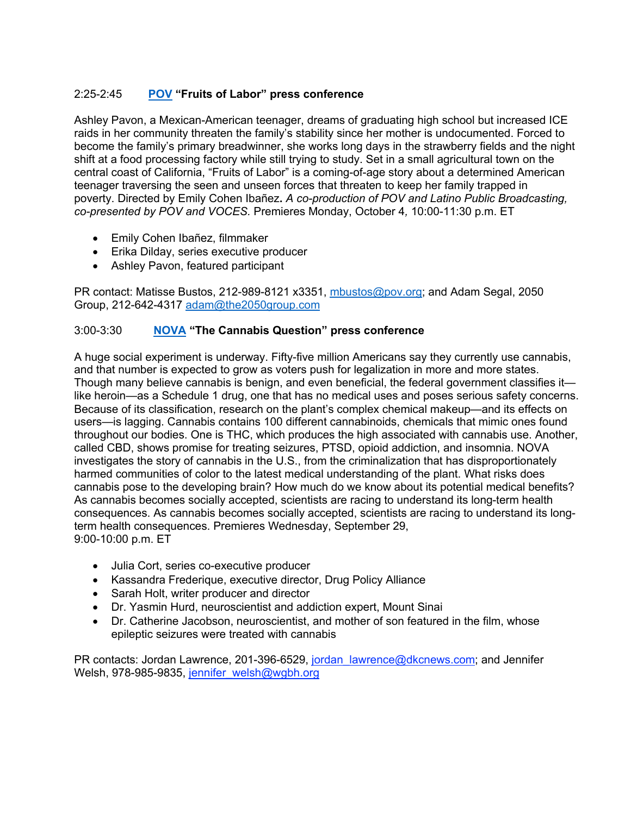## 2:25-2:45 **POV "Fruits of Labor" press conference**

Ashley Pavon, a Mexican-American teenager, dreams of graduating high school but increased ICE raids in her community threaten the family's stability since her mother is undocumented. Forced to become the family's primary breadwinner, she works long days in the strawberry fields and the night shift at a food processing factory while still trying to study. Set in a small agricultural town on the central coast of California, "Fruits of Labor" is a coming-of-age story about a determined American teenager traversing the seen and unseen forces that threaten to keep her family trapped in poverty. Directed by Emily Cohen Ibañez**.** *A co-production of POV and Latino Public Broadcasting, co-presented by POV and VOCES.* Premieres Monday, October 4*,* 10:00-11:30 p.m. ET

- Emily Cohen Ibañez, filmmaker
- Erika Dilday, series executive producer
- Ashley Pavon, featured participant

PR contact: Matisse Bustos, 212-989-8121 x3351, mbustos@pov.org; and Adam Segal, 2050 Group, 212-642-4317 adam@the2050group.com

## 3:00-3:30 **NOVA "The Cannabis Question" press conference**

A huge social experiment is underway. Fifty-five million Americans say they currently use cannabis, and that number is expected to grow as voters push for legalization in more and more states. Though many believe cannabis is benign, and even beneficial, the federal government classifies it like heroin—as a Schedule 1 drug, one that has no medical uses and poses serious safety concerns. Because of its classification, research on the plant's complex chemical makeup—and its effects on users—is lagging. Cannabis contains 100 different cannabinoids, chemicals that mimic ones found throughout our bodies. One is THC, which produces the high associated with cannabis use. Another, called CBD, shows promise for treating seizures, PTSD, opioid addiction, and insomnia. NOVA investigates the story of cannabis in the U.S., from the criminalization that has disproportionately harmed communities of color to the latest medical understanding of the plant. What risks does cannabis pose to the developing brain? How much do we know about its potential medical benefits? As cannabis becomes socially accepted, scientists are racing to understand its long-term health consequences. As cannabis becomes socially accepted, scientists are racing to understand its longterm health consequences. Premieres Wednesday, September 29, 9:00-10:00 p.m. ET

- Julia Cort, series co-executive producer
- Kassandra Frederique, executive director, Drug Policy Alliance
- Sarah Holt, writer producer and director
- Dr. Yasmin Hurd, neuroscientist and addiction expert, Mount Sinai
- Dr. Catherine Jacobson, neuroscientist, and mother of son featured in the film, whose epileptic seizures were treated with cannabis

PR contacts: Jordan Lawrence, 201-396-6529, jordan lawrence@dkcnews.com; and Jennifer Welsh, 978-985-9835, jennifer\_welsh@wgbh.org